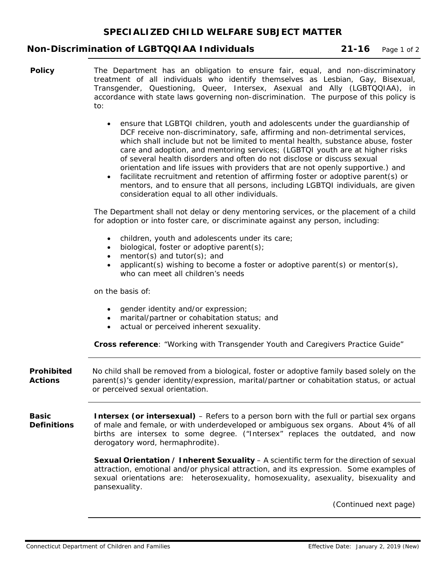## **SPECIALIZED CHILD WELFARE SUBJECT MATTER**

## **Non-Discrimination of LGBTQQIAA Individuals 21-16** Page 1 of 2

- **Policy** The Department has an obligation to ensure fair, equal, and non-discriminatory treatment of all individuals who identify themselves as Lesbian, Gay, Bisexual, Transgender, Questioning, Queer, Intersex, Asexual and Ally (LGBTQQIAA), in accordance with state laws governing non-discrimination. The purpose of this policy is to:
	- ensure that LGBTQI children, youth and adolescents under the guardianship of DCF receive non-discriminatory, safe, affirming and non-detrimental services, which shall include but not be limited to mental health, substance abuse, foster care and adoption, and mentoring services; (LGBTQI youth are at higher risks of several health disorders and often do not disclose or discuss sexual orientation and life issues with providers that are not openly supportive.) and
	- facilitate recruitment and retention of affirming foster or adoptive parent(s) or mentors, and to ensure that all persons, including LGBTQI individuals, are given consideration equal to all other individuals.

The Department shall not delay or deny mentoring services, or the placement of a child for adoption or into foster care, or discriminate against any person, including:

- children, youth and adolescents under its care;
- biological, foster or adoptive parent(s);
- mentor(s) and tutor(s); and
- applicant(s) wishing to become a foster or adoptive parent(s) or mentor(s), who can meet all children's needs

on the basis of:

- gender identity and/or expression;
- marital/partner or cohabitation status; and
- actual or perceived inherent sexuality.

**Cross reference**: "Working with Transgender Youth and Caregivers Practice Guide"

**Prohibited Actions**  No child shall be removed from a biological, foster or adoptive family based solely on the parent(s)'s gender identity/expression, marital/partner or cohabitation status, or actual or perceived sexual orientation.

**Basic Definitions Intersex (or intersexual)** – Refers to a person born with the full or partial sex organs of male and female, or with underdeveloped or ambiguous sex organs. About 4% of all births are intersex to some degree. ("Intersex" replaces the outdated, and now derogatory word, hermaphrodite).

> **Sexual Orientation / Inherent Sexuality** – A scientific term for the direction of sexual attraction, emotional and/or physical attraction, and its expression. Some examples of sexual orientations are: heterosexuality, homosexuality, asexuality, bisexuality and pansexuality.

> > (Continued next page)